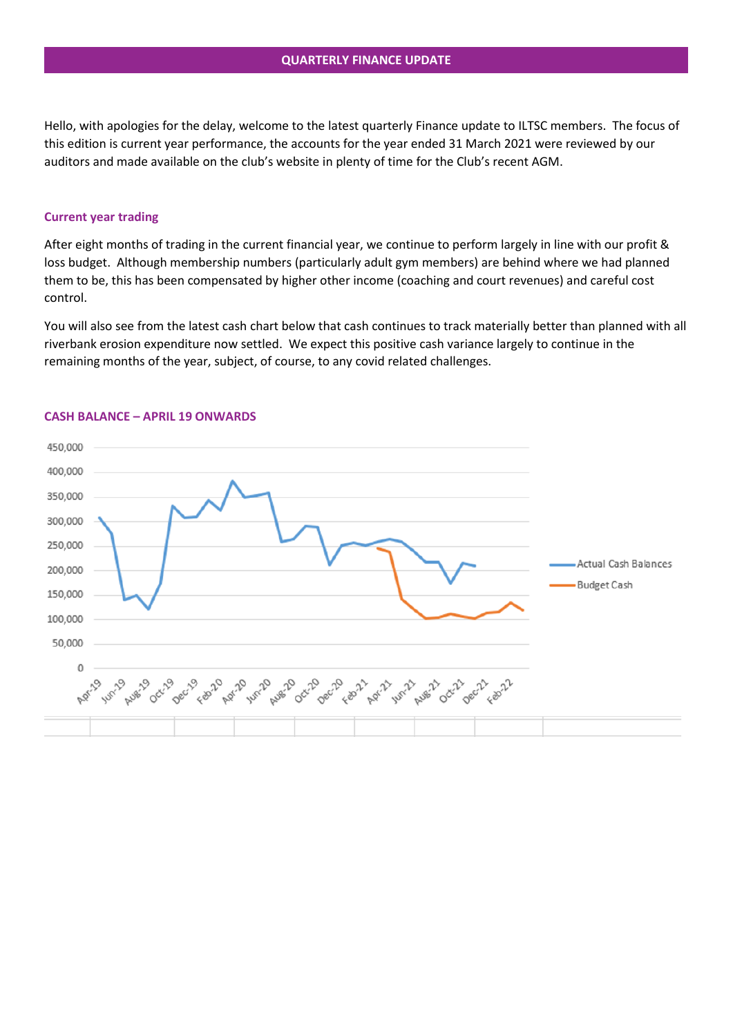Hello, with apologies for the delay, welcome to the latest quarterly Finance update to ILTSC members. The focus of this edition is current year performance, the accounts for the year ended 31 March 2021 were reviewed by our auditors and made available on the club's website in plenty of time for the Club's recent AGM.

## **Current year trading**

After eight months of trading in the current financial year, we continue to perform largely in line with our profit & loss budget. Although membership numbers (particularly adult gym members) are behind where we had planned them to be, this has been compensated by higher other income (coaching and court revenues) and careful cost control.

You will also see from the latest cash chart below that cash continues to track materially better than planned with all riverbank erosion expenditure now settled. We expect this positive cash variance largely to continue in the remaining months of the year, subject, of course, to any covid related challenges.



## **CASH BALANCE – APRIL 19 ONWARDS**